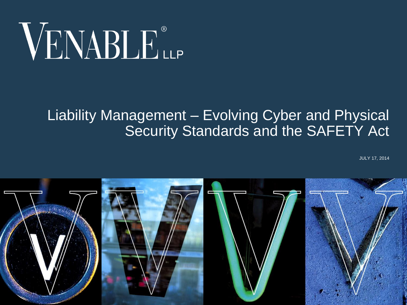# VENABLE®

#### Liability Management – Evolving Cyber and Physical Security Standards and the SAFETY Act

JULY 17, 2014

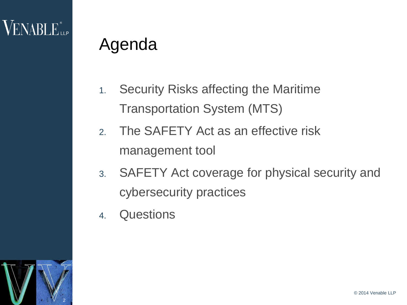# Agenda

- 1. Security Risks affecting the Maritime Transportation System (MTS)
- 2. The SAFETY Act as an effective risk management tool
- 3. SAFETY Act coverage for physical security and cybersecurity practices
- 4. Questions

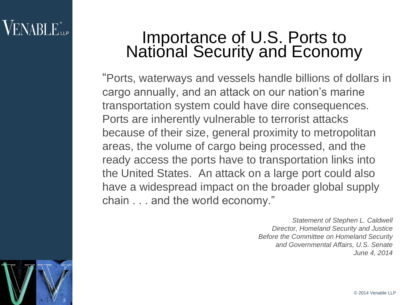### **VENABLE** LLP

3

#### Importance of U.S. Ports to National Security and Economy

"Ports, waterways and vessels handle billions of dollars in cargo annually, and an attack on our nation's marine transportation system could have dire consequences. Ports are inherently vulnerable to terrorist attacks because of their size, general proximity to metropolitan areas, the volume of cargo being processed, and the ready access the ports have to transportation links into the United States. An attack on a large port could also have a widespread impact on the broader global supply chain . . . and the world economy."

> *Statement of Stephen L. Caldwell Director, Homeland Security and Justice Before the Committee on Homeland Security and Governmental Affairs, U.S. Senate June 4, 2014*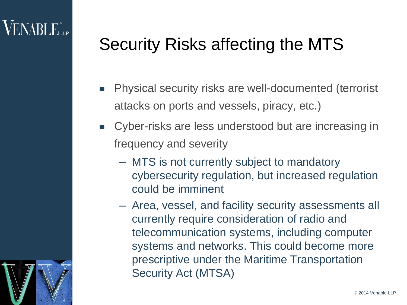4

# Security Risks affecting the MTS

- **Physical security risks are well-documented (terrorist** attacks on ports and vessels, piracy, etc.)
- Cyber-risks are less understood but are increasing in frequency and severity
	- MTS is not currently subject to mandatory cybersecurity regulation, but increased regulation could be imminent
	- Area, vessel, and facility security assessments all currently require consideration of radio and telecommunication systems, including computer systems and networks. This could become more prescriptive under the Maritime Transportation Security Act (MTSA)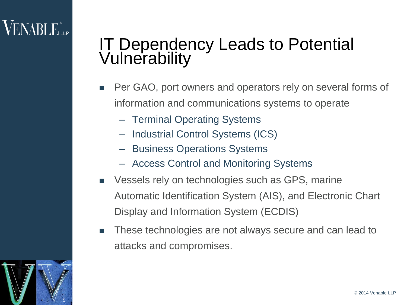# $\sf{VENABLE}^*$ ile

#### IT Dependency Leads to Potential Vulnerability

- **Per GAO, port owners and operators rely on several forms of** information and communications systems to operate
	- Terminal Operating Systems
	- Industrial Control Systems (ICS)
	- Business Operations Systems
	- Access Control and Monitoring Systems
- Vessels rely on technologies such as GPS, marine Automatic Identification System (AIS), and Electronic Chart Display and Information System (ECDIS)
- **These technologies are not always secure and can lead to** attacks and compromises.

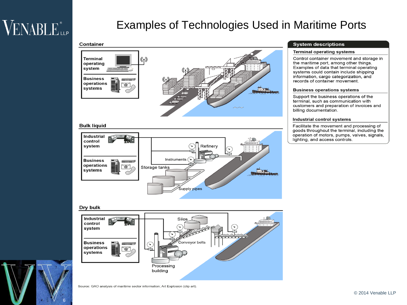# VENABLE<sup>®</sup>

#### Examples of Technologies Used in Maritime Ports

#### **Container**



#### **Bulk liquid**



#### **System descriptions**

#### **Terminal operating systems**

Control container movement and storage in the maritime port, among other things. Examples of data that terminal operating systems could contain include shipping information, cargo categorization, and records of container movement.

#### **Business operations systems**

Support the business operations of the terminal, such as communication with customers and preparation of invoices and billing documentation.

#### Industrial control systems

Facilitate the movement and processing of goods throughout the terminal, including the operation of motors, pumps, valves, signals, lighting, and access controls.

#### Dry bulk

6



Source: GAO analysis of maritime sector information; Art Explosion (clip art).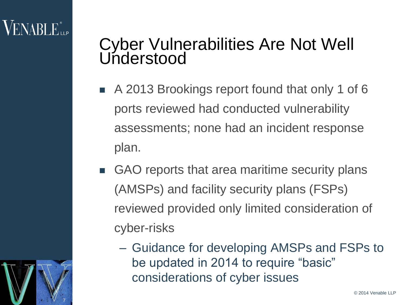# $\sf{VENABLE}^*$

7

#### Cyber Vulnerabilities Are Not Well Understood

- A 2013 Brookings report found that only 1 of 6 ports reviewed had conducted vulnerability assessments; none had an incident response plan.
- GAO reports that area maritime security plans (AMSPs) and facility security plans (FSPs) reviewed provided only limited consideration of cyber-risks
	- Guidance for developing AMSPs and FSPs to be updated in 2014 to require "basic" considerations of cyber issues

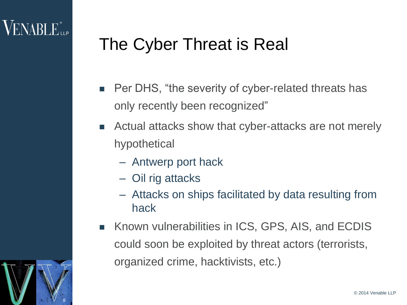# The Cyber Threat is Real

- **Per DHS, "the severity of cyber-related threats has** only recently been recognized"
- **EXTERGH** Actual attacks show that cyber-attacks are not merely hypothetical
	- Antwerp port hack
	- Oil rig attacks
	- Attacks on ships facilitated by data resulting from hack
- Known vulnerabilities in ICS, GPS, AIS, and ECDIS could soon be exploited by threat actors (terrorists, organized crime, hacktivists, etc.)

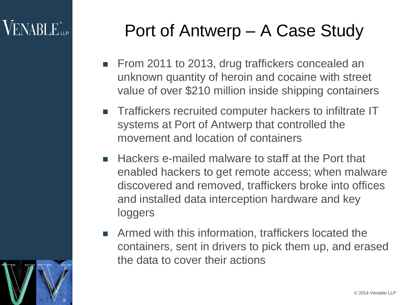# **VENABLE**

9

# Port of Antwerp – A Case Study

- From 2011 to 2013, drug traffickers concealed an unknown quantity of heroin and cocaine with street value of over \$210 million inside shipping containers
- **Traffickers recruited computer hackers to infiltrate IT** systems at Port of Antwerp that controlled the movement and location of containers
- Hackers e-mailed malware to staff at the Port that enabled hackers to get remote access; when malware discovered and removed, traffickers broke into offices and installed data interception hardware and key loggers
- **EXTERN Armed with this information, traffickers located the** containers, sent in drivers to pick them up, and erased the data to cover their actions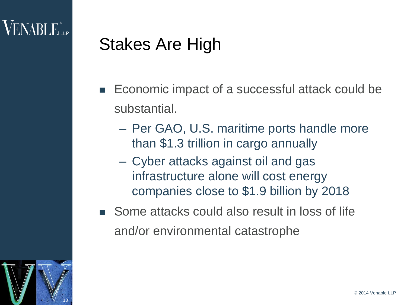# Stakes Are High

- Economic impact of a successful attack could be substantial.
	- Per GAO, U.S. maritime ports handle more than \$1.3 trillion in cargo annually
	- Cyber attacks against oil and gas infrastructure alone will cost energy companies close to \$1.9 billion by 2018
- Some attacks could also result in loss of life and/or environmental catastrophe

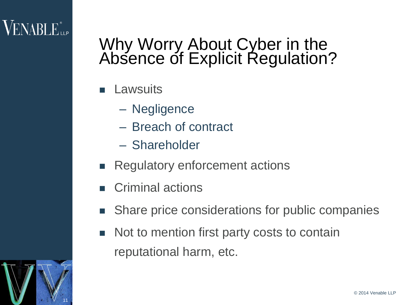#### Why Worry About Cyber in the Absence of Explicit Regulation?

- **Lawsuits** 
	- Negligence
	- Breach of contract
	- Shareholder
- **Regulatory enforcement actions**
- Criminal actions
- Share price considerations for public companies
- Not to mention first party costs to contain reputational harm, etc.



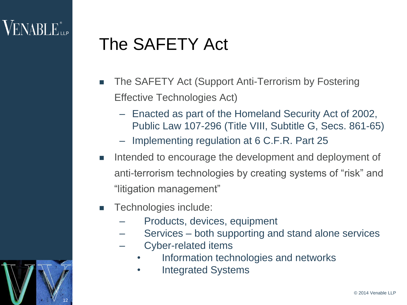12

### The SAFETY Act

- **The SAFETY Act (Support Anti-Terrorism by Fostering** Effective Technologies Act)
	- Enacted as part of the Homeland Security Act of 2002, Public Law 107-296 (Title VIII, Subtitle G, Secs. 861-65)
	- Implementing regulation at 6 C.F.R. Part 25
- Intended to encourage the development and deployment of anti-terrorism technologies by creating systems of "risk" and "litigation management"
- **Technologies include:** 
	- Products, devices, equipment
	- Services both supporting and stand alone services
	- Cyber-related items
		- Information technologies and networks
		- Integrated Systems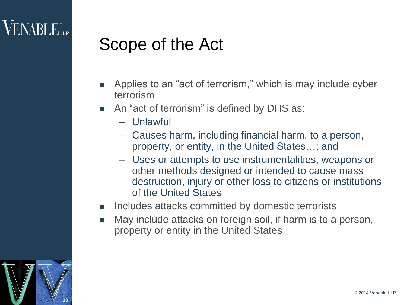### Scope of the Act

- **Applies to an "act of terrorism," which is may include cyber** terrorism
- An "act of terrorism" is defined by DHS as:
	- Unlawful
	- Causes harm, including financial harm, to a person, property, or entity, in the United States…; and
	- Uses or attempts to use instrumentalities, weapons or other methods designed or intended to cause mass destruction, injury or other loss to citizens or institutions of the United States
- **Includes attacks committed by domestic terrorists**
- May include attacks on foreign soil, if harm is to a person, property or entity in the United States

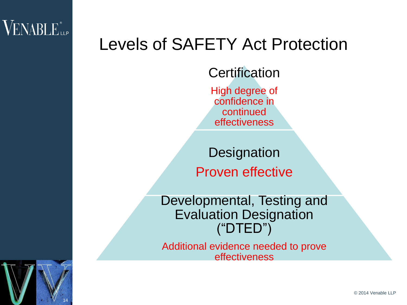

#### Levels of SAFETY Act Protection

#### **Certification**

High degree of confidence in continued effectiveness

**Designation** Proven effective

Developmental, Testing and Evaluation Designation ("DTED")

Additional evidence needed to prove effectiveness

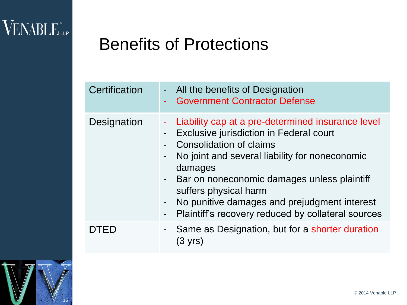VENABLE LLP

#### Benefits of Protections

| Certification | - All the benefits of Designation<br><b>Government Contractor Defense</b>                                                                                                                                                                                                                                                                                                                                                                    |
|---------------|----------------------------------------------------------------------------------------------------------------------------------------------------------------------------------------------------------------------------------------------------------------------------------------------------------------------------------------------------------------------------------------------------------------------------------------------|
| Designation   | Liability cap at a pre-determined insurance level<br>÷.<br>Exclusive jurisdiction in Federal court<br>$\blacksquare$<br>Consolidation of claims<br>No joint and several liability for noneconomic<br>damages<br>Bar on noneconomic damages unless plaintiff<br>$\sim 100$<br>suffers physical harm<br>No punitive damages and prejudgment interest<br>$\blacksquare$<br>Plaintiff's recovery reduced by collateral sources<br>$\blacksquare$ |
| DTED          | - Same as Designation, but for a shorter duration<br>(3 yrs)                                                                                                                                                                                                                                                                                                                                                                                 |

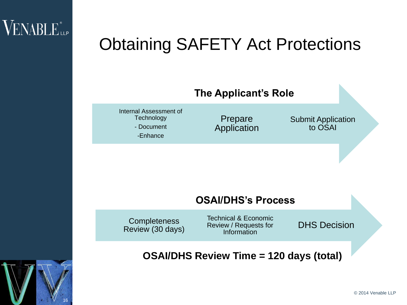

# Obtaining SAFETY Act Protections



#### **OSAI/DHS's Process**

**Completeness** Review (30 days) Technical & Economic Review / Requests for Information

DHS Decision

#### **OSAI/DHS Review Time = 120 days (total)**

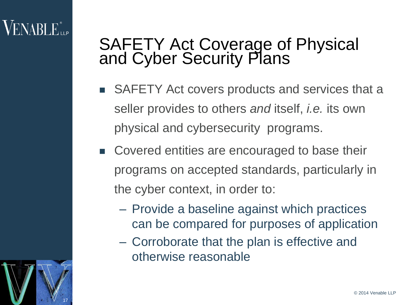# $\sf VENABI$   $E_{\sf uP}^*$

17

#### SAFETY Act Coverage of Physical and Cyber Security Plans

- SAFETY Act covers products and services that a seller provides to others *and* itself, *i.e.* its own physical and cybersecurity programs.
- Covered entities are encouraged to base their programs on accepted standards, particularly in the cyber context, in order to:
	- Provide a baseline against which practices can be compared for purposes of application
	- Corroborate that the plan is effective and otherwise reasonable

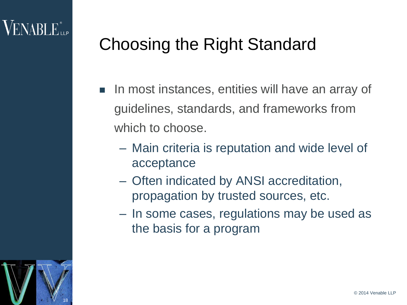# Choosing the Right Standard

- **IF In most instances, entities will have an array of** guidelines, standards, and frameworks from which to choose.
	- Main criteria is reputation and wide level of acceptance
	- Often indicated by ANSI accreditation, propagation by trusted sources, etc.
	- In some cases, regulations may be used as the basis for a program

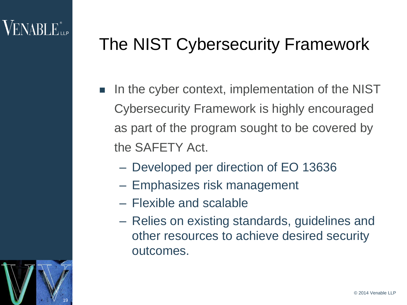# The NIST Cybersecurity Framework

- In the cyber context, implementation of the NIST Cybersecurity Framework is highly encouraged as part of the program sought to be covered by the SAFETY Act.
	- Developed per direction of EO 13636
	- Emphasizes risk management
	- Flexible and scalable
	- Relies on existing standards, guidelines and other resources to achieve desired security outcomes.

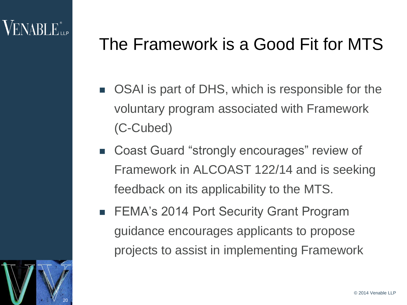# The Framework is a Good Fit for MTS

- OSAI is part of DHS, which is responsible for the voluntary program associated with Framework (C-Cubed)
- Coast Guard "strongly encourages" review of Framework in ALCOAST 122/14 and is seeking feedback on its applicability to the MTS.
- FEMA's 2014 Port Security Grant Program guidance encourages applicants to propose projects to assist in implementing Framework

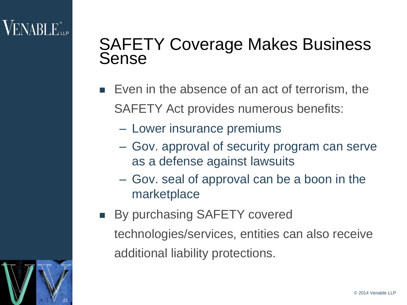#### SAFETY Coverage Makes Business Sense

- Even in the absence of an act of terrorism, the SAFETY Act provides numerous benefits:
	- Lower insurance premiums
	- Gov. approval of security program can serve as a defense against lawsuits
	- Gov. seal of approval can be a boon in the marketplace
- **By purchasing SAFETY covered** technologies/services, entities can also receive additional liability protections.